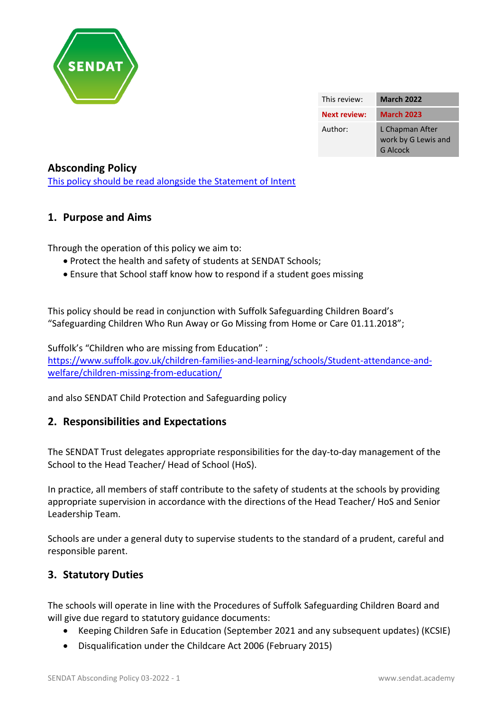

| This review:        | <b>March 2022</b>                                  |
|---------------------|----------------------------------------------------|
| <b>Next review:</b> | <b>March 2023</b>                                  |
| Author:             | L Chapman After<br>work by G Lewis and<br>G Alcock |

### **Absconding Policy**

[This policy should be read alongside the Statement of Intent](http://www.priory.suffolk.sch.uk/index.php/sendat-statement-of-intent)

### **1. Purpose and Aims**

Through the operation of this policy we aim to:

- Protect the health and safety of students at SENDAT Schools;
- Ensure that School staff know how to respond if a student goes missing

This policy should be read in conjunction with Suffolk Safeguarding Children Board's "Safeguarding Children Who Run Away or Go Missing from Home or Care 01.11.2018";

Suffolk's "Children who are missing from Education" : [https://www.suffolk.gov.uk/children-families-and-learning/schools/Student-attendance-and](https://www.suffolk.gov.uk/children-families-and-learning/schools/pupil-attendance-and-welfare/children-missing-from-education/)[welfare/children-missing-from-education/](https://www.suffolk.gov.uk/children-families-and-learning/schools/pupil-attendance-and-welfare/children-missing-from-education/)

and also SENDAT Child Protection and Safeguarding policy

## **2. Responsibilities and Expectations**

The SENDAT Trust delegates appropriate responsibilities for the day-to-day management of the School to the Head Teacher/ Head of School (HoS).

In practice, all members of staff contribute to the safety of students at the schools by providing appropriate supervision in accordance with the directions of the Head Teacher/ HoS and Senior Leadership Team.

Schools are under a general duty to supervise students to the standard of a prudent, careful and responsible parent.

### **3. Statutory Duties**

The schools will operate in line with the Procedures of Suffolk Safeguarding Children Board and will give due regard to statutory guidance documents:

- Keeping Children Safe in Education (September 2021 and any subsequent updates) (KCSIE)
- Disqualification under the Childcare Act 2006 (February 2015)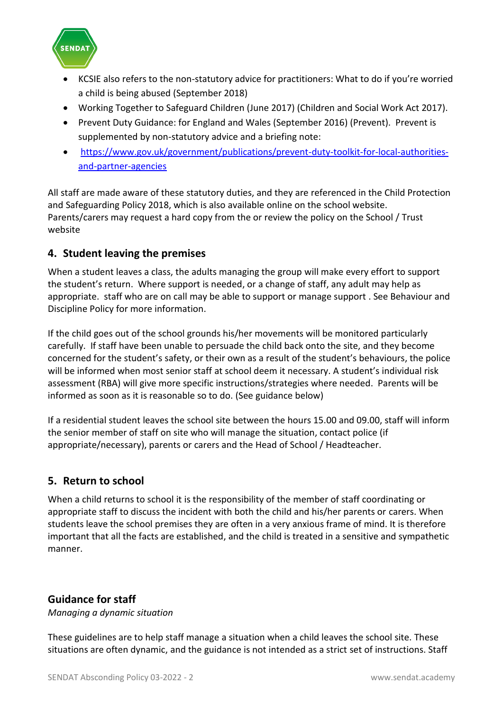

- KCSIE also refers to the non-statutory advice for practitioners: What to do if you're worried a child is being abused (September 2018)
- Working Together to Safeguard Children (June 2017) (Children and Social Work Act 2017).
- Prevent Duty Guidance: for England and Wales (September 2016) (Prevent). Prevent is supplemented by non-statutory advice and a briefing note:
- [https://www.gov.uk/government/publications/prevent-duty-toolkit-for-local-authorities](https://www.gov.uk/government/publications/prevent-duty-toolkit-for-local-authorities-and-partner-agencies)[and-partner-agencies](https://www.gov.uk/government/publications/prevent-duty-toolkit-for-local-authorities-and-partner-agencies)

All staff are made aware of these statutory duties, and they are referenced in the Child Protection and Safeguarding Policy 2018, which is also available online on the school website. Parents/carers may request a hard copy from the or review the policy on the School / Trust website

# **4. Student leaving the premises**

When a student leaves a class, the adults managing the group will make every effort to support the student's return. Where support is needed, or a change of staff, any adult may help as appropriate. staff who are on call may be able to support or manage support . See Behaviour and Discipline Policy for more information.

If the child goes out of the school grounds his/her movements will be monitored particularly carefully. If staff have been unable to persuade the child back onto the site, and they become concerned for the student's safety, or their own as a result of the student's behaviours, the police will be informed when most senior staff at school deem it necessary. A student's individual risk assessment (RBA) will give more specific instructions/strategies where needed. Parents will be informed as soon as it is reasonable so to do. (See guidance below)

If a residential student leaves the school site between the hours 15.00 and 09.00, staff will inform the senior member of staff on site who will manage the situation, contact police (if appropriate/necessary), parents or carers and the Head of School / Headteacher.

# **5. Return to school**

When a child returns to school it is the responsibility of the member of staff coordinating or appropriate staff to discuss the incident with both the child and his/her parents or carers. When students leave the school premises they are often in a very anxious frame of mind. It is therefore important that all the facts are established, and the child is treated in a sensitive and sympathetic manner.

## **Guidance for staff**

*Managing a dynamic situation*

These guidelines are to help staff manage a situation when a child leaves the school site. These situations are often dynamic, and the guidance is not intended as a strict set of instructions. Staff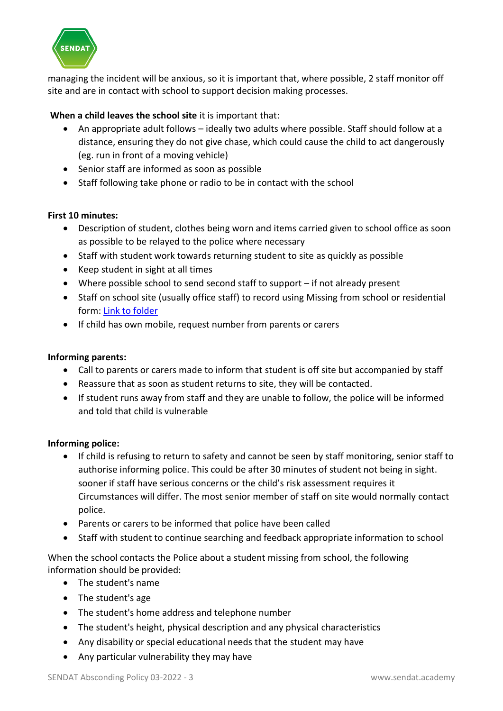

managing the incident will be anxious, so it is important that, where possible, 2 staff monitor off site and are in contact with school to support decision making processes.

### **When a child leaves the school site** it is important that:

- An appropriate adult follows ideally two adults where possible. Staff should follow at a distance, ensuring they do not give chase, which could cause the child to act dangerously (eg. run in front of a moving vehicle)
- Senior staff are informed as soon as possible
- Staff following take phone or radio to be in contact with the school

### **First 10 minutes:**

- Description of student, clothes being worn and items carried given to school office as soon as possible to be relayed to the police where necessary
- Staff with student work towards returning student to site as quickly as possible
- Keep student in sight at all times
- Where possible school to send second staff to support if not already present
- Staff on school site (usually office staff) to record using Missing from school or residential form: [Link to folder](https://priorysuffolksch.sharepoint.com/:w:/r/sites/PriorySchool/Shared%20Documents/03.%20School%20Organisation%20and%20Policies/Policies%20-%20Safeguarding/Absconding-Missing%20from%20Care/SENDAT%20Absconding%20Policy.docx?d=w3e110f97b11647e0b39eeb049fff144e&csf=1&web=1&e=PZyCH3)
- If child has own mobile, request number from parents or carers

#### **Informing parents:**

- Call to parents or carers made to inform that student is off site but accompanied by staff
- Reassure that as soon as student returns to site, they will be contacted.
- If student runs away from staff and they are unable to follow, the police will be informed and told that child is vulnerable

#### **Informing police:**

- If child is refusing to return to safety and cannot be seen by staff monitoring, senior staff to authorise informing police. This could be after 30 minutes of student not being in sight. sooner if staff have serious concerns or the child's risk assessment requires it Circumstances will differ. The most senior member of staff on site would normally contact police.
- Parents or carers to be informed that police have been called
- Staff with student to continue searching and feedback appropriate information to school

When the school contacts the Police about a student missing from school, the following information should be provided:

- The student's name
- The student's age
- The student's home address and telephone number
- The student's height, physical description and any physical characteristics
- Any disability or special educational needs that the student may have
- Any particular vulnerability they may have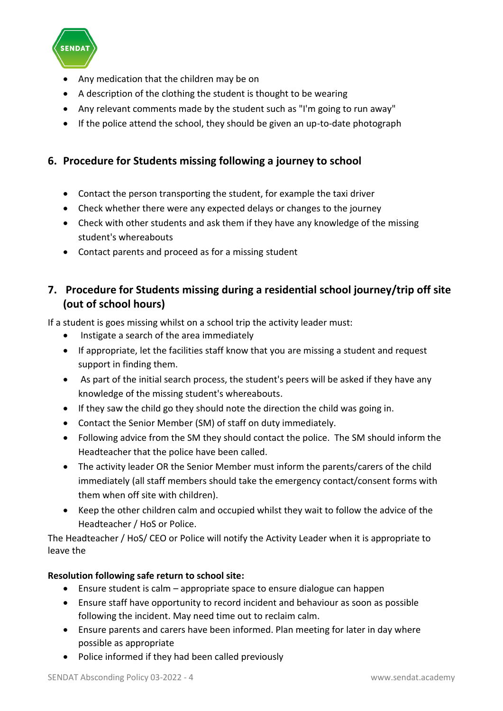

- Any medication that the children may be on
- A description of the clothing the student is thought to be wearing
- Any relevant comments made by the student such as "I'm going to run away"
- If the police attend the school, they should be given an up-to-date photograph

# **6. Procedure for Students missing following a journey to school**

- Contact the person transporting the student, for example the taxi driver
- Check whether there were any expected delays or changes to the journey
- Check with other students and ask them if they have any knowledge of the missing student's whereabouts
- Contact parents and proceed as for a missing student

# **7. Procedure for Students missing during a residential school journey/trip off site (out of school hours)**

If a student is goes missing whilst on a school trip the activity leader must:

- Instigate a search of the area immediately
- If appropriate, let the facilities staff know that you are missing a student and request support in finding them.
- As part of the initial search process, the student's peers will be asked if they have any knowledge of the missing student's whereabouts.
- If they saw the child go they should note the direction the child was going in.
- Contact the Senior Member (SM) of staff on duty immediately.
- Following advice from the SM they should contact the police. The SM should inform the Headteacher that the police have been called.
- The activity leader OR the Senior Member must inform the parents/carers of the child immediately (all staff members should take the emergency contact/consent forms with them when off site with children).
- Keep the other children calm and occupied whilst they wait to follow the advice of the Headteacher / HoS or Police.

The Headteacher / HoS/ CEO or Police will notify the Activity Leader when it is appropriate to leave the

### **Resolution following safe return to school site:**

- Ensure student is calm appropriate space to ensure dialogue can happen
- Ensure staff have opportunity to record incident and behaviour as soon as possible following the incident. May need time out to reclaim calm.
- Ensure parents and carers have been informed. Plan meeting for later in day where possible as appropriate
- Police informed if they had been called previously